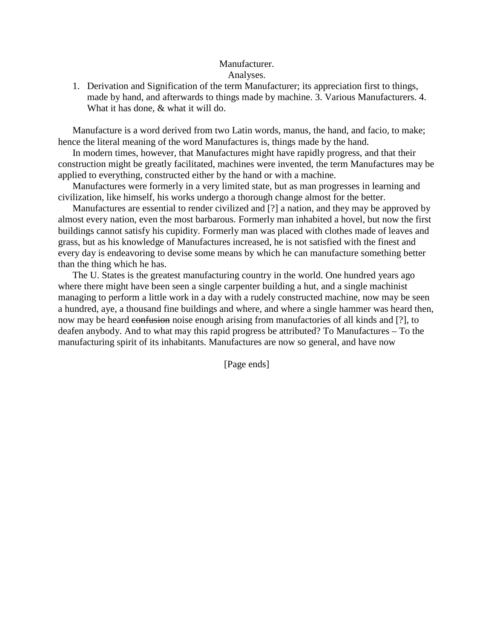## Manufacturer. Analyses.

1. Derivation and Signification of the term Manufacturer; its appreciation first to things, made by hand, and afterwards to things made by machine. 3. Various Manufacturers. 4. What it has done, & what it will do.

Manufacture is a word derived from two Latin words, manus, the hand, and facio, to make; hence the literal meaning of the word Manufactures is, things made by the hand.

In modern times, however, that Manufactures might have rapidly progress, and that their construction might be greatly facilitated, machines were invented, the term Manufactures may be applied to everything, constructed either by the hand or with a machine.

Manufactures were formerly in a very limited state, but as man progresses in learning and civilization, like himself, his works undergo a thorough change almost for the better.

Manufactures are essential to render civilized and [?] a nation, and they may be approved by almost every nation, even the most barbarous. Formerly man inhabited a hovel, but now the first buildings cannot satisfy his cupidity. Formerly man was placed with clothes made of leaves and grass, but as his knowledge of Manufactures increased, he is not satisfied with the finest and every day is endeavoring to devise some means by which he can manufacture something better than the thing which he has.

The U. States is the greatest manufacturing country in the world. One hundred years ago where there might have been seen a single carpenter building a hut, and a single machinist managing to perform a little work in a day with a rudely constructed machine, now may be seen a hundred, aye, a thousand fine buildings and where, and where a single hammer was heard then, now may be heard confusion noise enough arising from manufactories of all kinds and [?], to deafen anybody. And to what may this rapid progress be attributed? To Manufactures – To the manufacturing spirit of its inhabitants. Manufactures are now so general, and have now

[Page ends]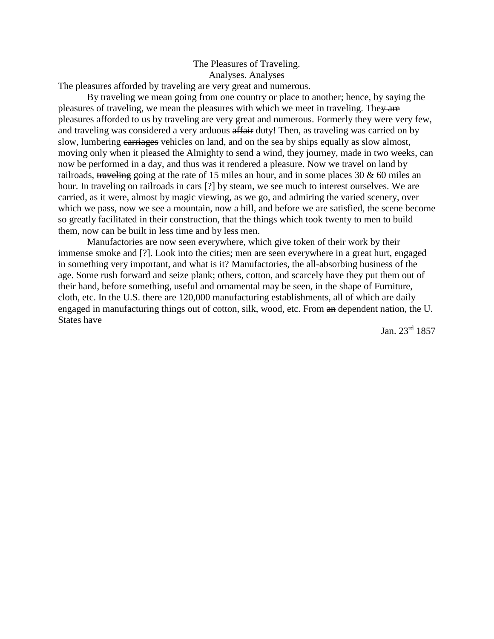# The Pleasures of Traveling. Analyses. Analyses

The pleasures afforded by traveling are very great and numerous.

 By traveling we mean going from one country or place to another; hence, by saying the pleasures of traveling, we mean the pleasures with which we meet in traveling. They are pleasures afforded to us by traveling are very great and numerous. Formerly they were very few, and traveling was considered a very arduous affair duty! Then, as traveling was carried on by slow, lumbering carriages vehicles on land, and on the sea by ships equally as slow almost, moving only when it pleased the Almighty to send a wind, they journey, made in two weeks, can now be performed in a day, and thus was it rendered a pleasure. Now we travel on land by railroads, traveling going at the rate of 15 miles an hour, and in some places 30  $\&$  60 miles an hour. In traveling on railroads in cars [?] by steam, we see much to interest ourselves. We are carried, as it were, almost by magic viewing, as we go, and admiring the varied scenery, over which we pass, now we see a mountain, now a hill, and before we are satisfied, the scene become so greatly facilitated in their construction, that the things which took twenty to men to build them, now can be built in less time and by less men.

 Manufactories are now seen everywhere, which give token of their work by their immense smoke and [?]. Look into the cities; men are seen everywhere in a great hurt, engaged in something very important, and what is it? Manufactories, the all-absorbing business of the age. Some rush forward and seize plank; others, cotton, and scarcely have they put them out of their hand, before something, useful and ornamental may be seen, in the shape of Furniture, cloth, etc. In the U.S. there are 120,000 manufacturing establishments, all of which are daily engaged in manufacturing things out of cotton, silk, wood, etc. From an dependent nation, the U. States have

Jan. 23rd 1857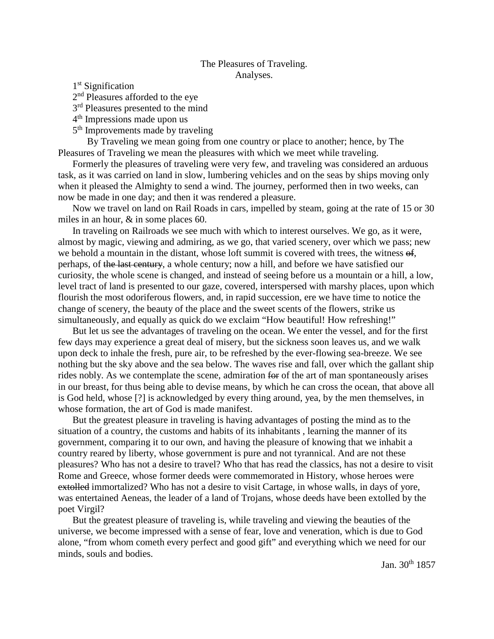### The Pleasures of Traveling. Analyses.

1<sup>st</sup> Signification

2<sup>nd</sup> Pleasures afforded to the eye

 $3<sup>rd</sup>$  Pleasures presented to the mind

4th Impressions made upon us

5<sup>th</sup> Improvements made by traveling

 By Traveling we mean going from one country or place to another; hence, by The Pleasures of Traveling we mean the pleasures with which we meet while traveling.

Formerly the pleasures of traveling were very few, and traveling was considered an arduous task, as it was carried on land in slow, lumbering vehicles and on the seas by ships moving only when it pleased the Almighty to send a wind. The journey, performed then in two weeks, can now be made in one day; and then it was rendered a pleasure.

Now we travel on land on Rail Roads in cars, impelled by steam, going at the rate of 15 or 30 miles in an hour, & in some places 60.

In traveling on Railroads we see much with which to interest ourselves. We go, as it were, almost by magic, viewing and admiring, as we go, that varied scenery, over which we pass; new we behold a mountain in the distant, whose loft summit is covered with trees, the witness of, perhaps, of the last century, a whole century; now a hill, and before we have satisfied our curiosity, the whole scene is changed, and instead of seeing before us a mountain or a hill, a low, level tract of land is presented to our gaze, covered, interspersed with marshy places, upon which flourish the most odoriferous flowers, and, in rapid succession, ere we have time to notice the change of scenery, the beauty of the place and the sweet scents of the flowers, strike us simultaneously, and equally as quick do we exclaim "How beautiful! How refreshing!"

But let us see the advantages of traveling on the ocean. We enter the vessel, and for the first few days may experience a great deal of misery, but the sickness soon leaves us, and we walk upon deck to inhale the fresh, pure air, to be refreshed by the ever-flowing sea-breeze. We see nothing but the sky above and the sea below. The waves rise and fall, over which the gallant ship rides nobly. As we contemplate the scene, admiration for of the art of man spontaneously arises in our breast, for thus being able to devise means, by which he can cross the ocean, that above all is God held, whose [?] is acknowledged by every thing around, yea, by the men themselves, in whose formation, the art of God is made manifest.

But the greatest pleasure in traveling is having advantages of posting the mind as to the situation of a country, the customs and habits of its inhabitants , learning the manner of its government, comparing it to our own, and having the pleasure of knowing that we inhabit a country reared by liberty, whose government is pure and not tyrannical. And are not these pleasures? Who has not a desire to travel? Who that has read the classics, has not a desire to visit Rome and Greece, whose former deeds were commemorated in History, whose heroes were extolled immortalized? Who has not a desire to visit Cartage, in whose walls, in days of yore, was entertained Aeneas, the leader of a land of Trojans, whose deeds have been extolled by the poet Virgil?

But the greatest pleasure of traveling is, while traveling and viewing the beauties of the universe, we become impressed with a sense of fear, love and veneration, which is due to God alone, "from whom cometh every perfect and good gift" and everything which we need for our minds, souls and bodies.

Jan. 30<sup>th</sup> 1857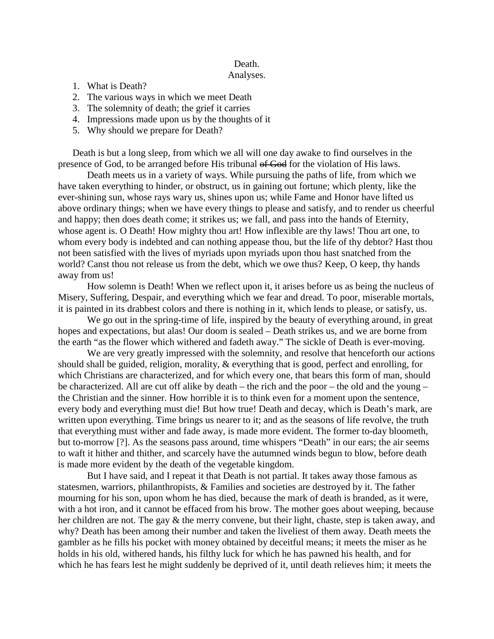### Death.

#### Analyses.

- 1. What is Death?
- 2. The various ways in which we meet Death
- 3. The solemnity of death; the grief it carries
- 4. Impressions made upon us by the thoughts of it
- 5. Why should we prepare for Death?

Death is but a long sleep, from which we all will one day awake to find ourselves in the presence of God, to be arranged before His tribunal of God for the violation of His laws.

 Death meets us in a variety of ways. While pursuing the paths of life, from which we have taken everything to hinder, or obstruct, us in gaining out fortune; which plenty, like the ever-shining sun, whose rays wary us, shines upon us; while Fame and Honor have lifted us above ordinary things; when we have every things to please and satisfy, and to render us cheerful and happy; then does death come; it strikes us; we fall, and pass into the hands of Eternity, whose agent is. O Death! How mighty thou art! How inflexible are thy laws! Thou art one, to whom every body is indebted and can nothing appease thou, but the life of thy debtor? Hast thou not been satisfied with the lives of myriads upon myriads upon thou hast snatched from the world? Canst thou not release us from the debt, which we owe thus? Keep, O keep, thy hands away from us!

 How solemn is Death! When we reflect upon it, it arises before us as being the nucleus of Misery, Suffering, Despair, and everything which we fear and dread. To poor, miserable mortals, it is painted in its drabbest colors and there is nothing in it, which lends to please, or satisfy, us.

We go out in the spring-time of life, inspired by the beauty of everything around, in great hopes and expectations, but alas! Our doom is sealed – Death strikes us, and we are borne from the earth "as the flower which withered and fadeth away." The sickle of Death is ever-moving.

We are very greatly impressed with the solemnity, and resolve that henceforth our actions should shall be guided, religion, morality, & everything that is good, perfect and enrolling, for which Christians are characterized, and for which every one, that bears this form of man, should be characterized. All are cut off alike by death – the rich and the poor – the old and the young – the Christian and the sinner. How horrible it is to think even for a moment upon the sentence, every body and everything must die! But how true! Death and decay, which is Death's mark, are written upon everything. Time brings us nearer to it; and as the seasons of life revolve, the truth that everything must wither and fade away, is made more evident. The former to-day bloometh, but to-morrow [?]. As the seasons pass around, time whispers "Death" in our ears; the air seems to waft it hither and thither, and scarcely have the autumned winds begun to blow, before death is made more evident by the death of the vegetable kingdom.

But I have said, and I repeat it that Death is not partial. It takes away those famous as statesmen, warriors, philanthropists, & Families and societies are destroyed by it. The father mourning for his son, upon whom he has died, because the mark of death is branded, as it were, with a hot iron, and it cannot be effaced from his brow. The mother goes about weeping, because her children are not. The gay & the merry convene, but their light, chaste, step is taken away, and why? Death has been among their number and taken the liveliest of them away. Death meets the gambler as he fills his pocket with money obtained by deceitful means; it meets the miser as he holds in his old, withered hands, his filthy luck for which he has pawned his health, and for which he has fears lest he might suddenly be deprived of it, until death relieves him; it meets the